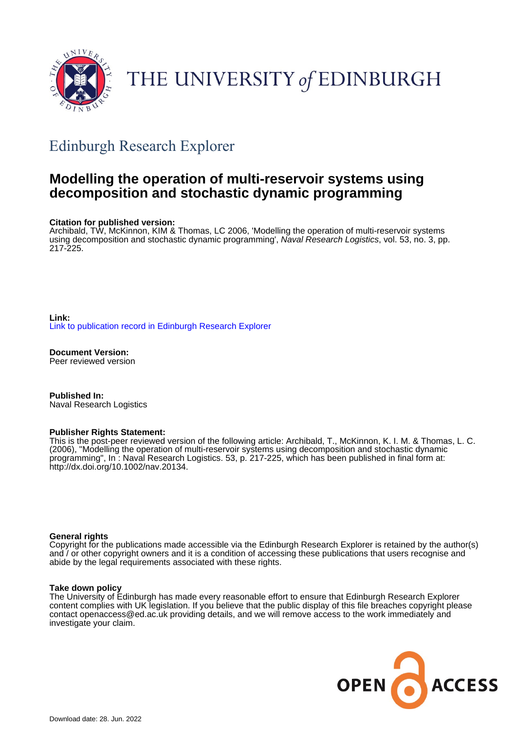

# THE UNIVERSITY of EDINBURGH

## Edinburgh Research Explorer

## **Modelling the operation of multi-reservoir systems using decomposition and stochastic dynamic programming**

#### **Citation for published version:**

Archibald, TW, McKinnon, KIM & Thomas, LC 2006, 'Modelling the operation of multi-reservoir systems using decomposition and stochastic dynamic programming', Naval Research Logistics, vol. 53, no. 3, pp. 217-225.

**Link:** [Link to publication record in Edinburgh Research Explorer](https://www.research.ed.ac.uk/en/publications/24c6e0bd-f193-4b59-848a-816821e5d234)

**Document Version:** Peer reviewed version

**Published In:** Naval Research Logistics

#### **Publisher Rights Statement:**

This is the post-peer reviewed version of the following article: Archibald, T., McKinnon, K. I. M. & Thomas, L. C. (2006), "Modelling the operation of multi-reservoir systems using decomposition and stochastic dynamic programming", In : Naval Research Logistics. 53, p. 217-225, which has been published in final form at: http://dx.doi.org/10.1002/nav.20134.

#### **General rights**

Copyright for the publications made accessible via the Edinburgh Research Explorer is retained by the author(s) and / or other copyright owners and it is a condition of accessing these publications that users recognise and abide by the legal requirements associated with these rights.

#### **Take down policy**

The University of Edinburgh has made every reasonable effort to ensure that Edinburgh Research Explorer content complies with UK legislation. If you believe that the public display of this file breaches copyright please contact openaccess@ed.ac.uk providing details, and we will remove access to the work immediately and investigate your claim.

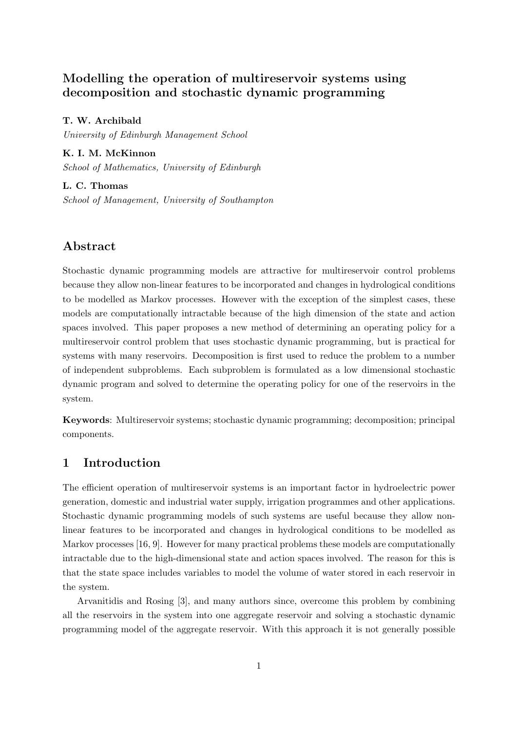## **Modelling the operation of multireservoir systems using decomposition and stochastic dynamic programming**

**T. W. Archibald** *University of Edinburgh Management School*

**K. I. M. McKinnon** *School of Mathematics, University of Edinburgh*

**L. C. Thomas** *School of Management, University of Southampton*

## **Abstract**

Stochastic dynamic programming models are attractive for multireservoir control problems because they allow non-linear features to be incorporated and changes in hydrological conditions to be modelled as Markov processes. However with the exception of the simplest cases, these models are computationally intractable because of the high dimension of the state and action spaces involved. This paper proposes a new method of determining an operating policy for a multireservoir control problem that uses stochastic dynamic programming, but is practical for systems with many reservoirs. Decomposition is first used to reduce the problem to a number of independent subproblems. Each subproblem is formulated as a low dimensional stochastic dynamic program and solved to determine the operating policy for one of the reservoirs in the system.

**Keywords**: Multireservoir systems; stochastic dynamic programming; decomposition; principal components.

## **1 Introduction**

The efficient operation of multireservoir systems is an important factor in hydroelectric power generation, domestic and industrial water supply, irrigation programmes and other applications. Stochastic dynamic programming models of such systems are useful because they allow nonlinear features to be incorporated and changes in hydrological conditions to be modelled as Markov processes [16, 9]. However for many practical problems these models are computationally intractable due to the high-dimensional state and action spaces involved. The reason for this is that the state space includes variables to model the volume of water stored in each reservoir in the system.

Arvanitidis and Rosing [3], and many authors since, overcome this problem by combining all the reservoirs in the system into one aggregate reservoir and solving a stochastic dynamic programming model of the aggregate reservoir. With this approach it is not generally possible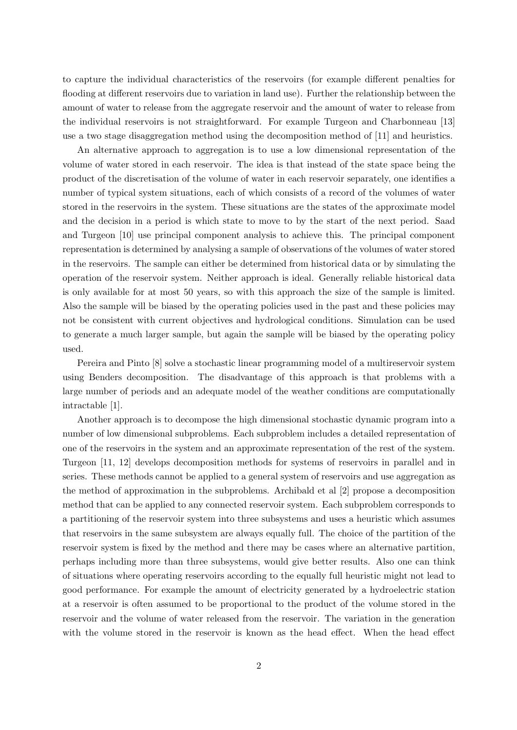to capture the individual characteristics of the reservoirs (for example different penalties for flooding at different reservoirs due to variation in land use). Further the relationship between the amount of water to release from the aggregate reservoir and the amount of water to release from the individual reservoirs is not straightforward. For example Turgeon and Charbonneau [13] use a two stage disaggregation method using the decomposition method of [11] and heuristics.

An alternative approach to aggregation is to use a low dimensional representation of the volume of water stored in each reservoir. The idea is that instead of the state space being the product of the discretisation of the volume of water in each reservoir separately, one identifies a number of typical system situations, each of which consists of a record of the volumes of water stored in the reservoirs in the system. These situations are the states of the approximate model and the decision in a period is which state to move to by the start of the next period. Saad and Turgeon [10] use principal component analysis to achieve this. The principal component representation is determined by analysing a sample of observations of the volumes of water stored in the reservoirs. The sample can either be determined from historical data or by simulating the operation of the reservoir system. Neither approach is ideal. Generally reliable historical data is only available for at most 50 years, so with this approach the size of the sample is limited. Also the sample will be biased by the operating policies used in the past and these policies may not be consistent with current objectives and hydrological conditions. Simulation can be used to generate a much larger sample, but again the sample will be biased by the operating policy used.

Pereira and Pinto [8] solve a stochastic linear programming model of a multireservoir system using Benders decomposition. The disadvantage of this approach is that problems with a large number of periods and an adequate model of the weather conditions are computationally intractable [1].

Another approach is to decompose the high dimensional stochastic dynamic program into a number of low dimensional subproblems. Each subproblem includes a detailed representation of one of the reservoirs in the system and an approximate representation of the rest of the system. Turgeon [11, 12] develops decomposition methods for systems of reservoirs in parallel and in series. These methods cannot be applied to a general system of reservoirs and use aggregation as the method of approximation in the subproblems. Archibald et al [2] propose a decomposition method that can be applied to any connected reservoir system. Each subproblem corresponds to a partitioning of the reservoir system into three subsystems and uses a heuristic which assumes that reservoirs in the same subsystem are always equally full. The choice of the partition of the reservoir system is fixed by the method and there may be cases where an alternative partition, perhaps including more than three subsystems, would give better results. Also one can think of situations where operating reservoirs according to the equally full heuristic might not lead to good performance. For example the amount of electricity generated by a hydroelectric station at a reservoir is often assumed to be proportional to the product of the volume stored in the reservoir and the volume of water released from the reservoir. The variation in the generation with the volume stored in the reservoir is known as the head effect. When the head effect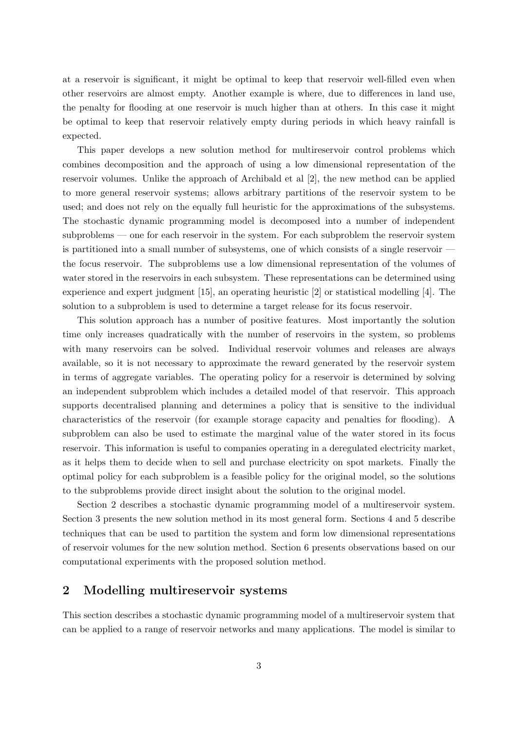at a reservoir is significant, it might be optimal to keep that reservoir well-filled even when other reservoirs are almost empty. Another example is where, due to differences in land use, the penalty for flooding at one reservoir is much higher than at others. In this case it might be optimal to keep that reservoir relatively empty during periods in which heavy rainfall is expected.

This paper develops a new solution method for multireservoir control problems which combines decomposition and the approach of using a low dimensional representation of the reservoir volumes. Unlike the approach of Archibald et al [2], the new method can be applied to more general reservoir systems; allows arbitrary partitions of the reservoir system to be used; and does not rely on the equally full heuristic for the approximations of the subsystems. The stochastic dynamic programming model is decomposed into a number of independent subproblems — one for each reservoir in the system. For each subproblem the reservoir system is partitioned into a small number of subsystems, one of which consists of a single reservoir the focus reservoir. The subproblems use a low dimensional representation of the volumes of water stored in the reservoirs in each subsystem. These representations can be determined using experience and expert judgment [15], an operating heuristic [2] or statistical modelling [4]. The solution to a subproblem is used to determine a target release for its focus reservoir.

This solution approach has a number of positive features. Most importantly the solution time only increases quadratically with the number of reservoirs in the system, so problems with many reservoirs can be solved. Individual reservoir volumes and releases are always available, so it is not necessary to approximate the reward generated by the reservoir system in terms of aggregate variables. The operating policy for a reservoir is determined by solving an independent subproblem which includes a detailed model of that reservoir. This approach supports decentralised planning and determines a policy that is sensitive to the individual characteristics of the reservoir (for example storage capacity and penalties for flooding). A subproblem can also be used to estimate the marginal value of the water stored in its focus reservoir. This information is useful to companies operating in a deregulated electricity market, as it helps them to decide when to sell and purchase electricity on spot markets. Finally the optimal policy for each subproblem is a feasible policy for the original model, so the solutions to the subproblems provide direct insight about the solution to the original model.

Section 2 describes a stochastic dynamic programming model of a multireservoir system. Section 3 presents the new solution method in its most general form. Sections 4 and 5 describe techniques that can be used to partition the system and form low dimensional representations of reservoir volumes for the new solution method. Section 6 presents observations based on our computational experiments with the proposed solution method.

### **2 Modelling multireservoir systems**

This section describes a stochastic dynamic programming model of a multireservoir system that can be applied to a range of reservoir networks and many applications. The model is similar to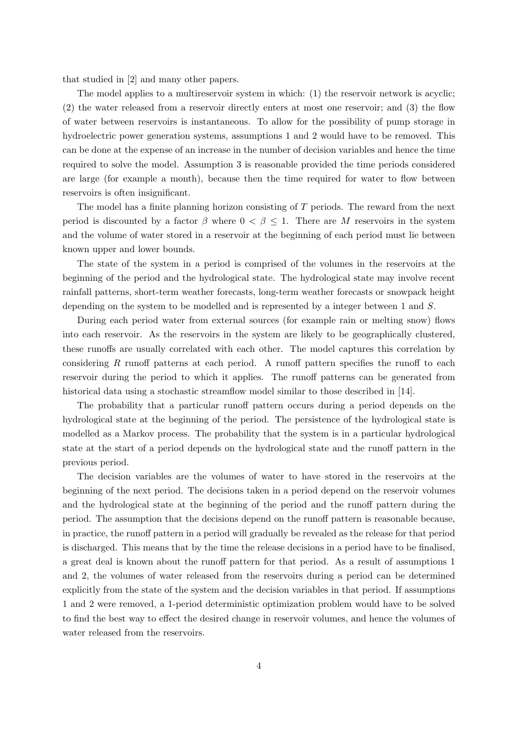that studied in [2] and many other papers.

The model applies to a multireservoir system in which: (1) the reservoir network is acyclic; (2) the water released from a reservoir directly enters at most one reservoir; and (3) the flow of water between reservoirs is instantaneous. To allow for the possibility of pump storage in hydroelectric power generation systems, assumptions 1 and 2 would have to be removed. This can be done at the expense of an increase in the number of decision variables and hence the time required to solve the model. Assumption 3 is reasonable provided the time periods considered are large (for example a month), because then the time required for water to flow between reservoirs is often insignificant.

The model has a finite planning horizon consisting of *T* periods. The reward from the next period is discounted by a factor  $\beta$  where  $0 < \beta \leq 1$ . There are M reservoirs in the system and the volume of water stored in a reservoir at the beginning of each period must lie between known upper and lower bounds.

The state of the system in a period is comprised of the volumes in the reservoirs at the beginning of the period and the hydrological state. The hydrological state may involve recent rainfall patterns, short-term weather forecasts, long-term weather forecasts or snowpack height depending on the system to be modelled and is represented by a integer between 1 and *S*.

During each period water from external sources (for example rain or melting snow) flows into each reservoir. As the reservoirs in the system are likely to be geographically clustered, these runoffs are usually correlated with each other. The model captures this correlation by considering *R* runoff patterns at each period. A runoff pattern specifies the runoff to each reservoir during the period to which it applies. The runoff patterns can be generated from historical data using a stochastic streamflow model similar to those described in [14].

The probability that a particular runoff pattern occurs during a period depends on the hydrological state at the beginning of the period. The persistence of the hydrological state is modelled as a Markov process. The probability that the system is in a particular hydrological state at the start of a period depends on the hydrological state and the runoff pattern in the previous period.

The decision variables are the volumes of water to have stored in the reservoirs at the beginning of the next period. The decisions taken in a period depend on the reservoir volumes and the hydrological state at the beginning of the period and the runoff pattern during the period. The assumption that the decisions depend on the runoff pattern is reasonable because, in practice, the runoff pattern in a period will gradually be revealed as the release for that period is discharged. This means that by the time the release decisions in a period have to be finalised, a great deal is known about the runoff pattern for that period. As a result of assumptions 1 and 2, the volumes of water released from the reservoirs during a period can be determined explicitly from the state of the system and the decision variables in that period. If assumptions 1 and 2 were removed, a 1-period deterministic optimization problem would have to be solved to find the best way to effect the desired change in reservoir volumes, and hence the volumes of water released from the reservoirs.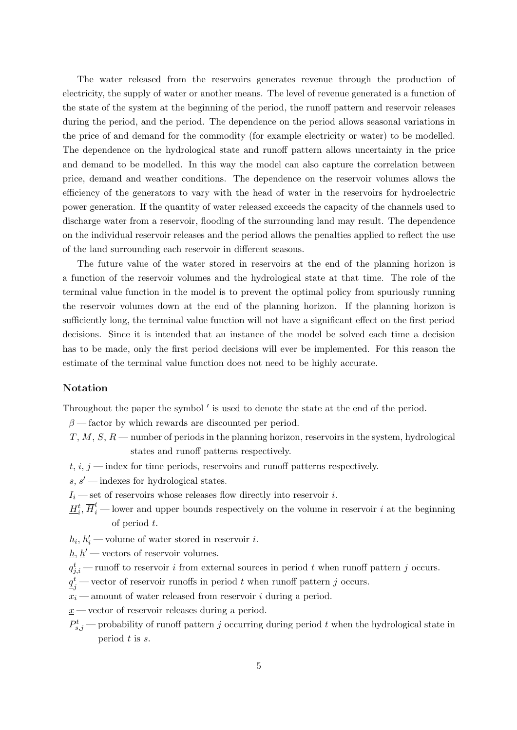The water released from the reservoirs generates revenue through the production of electricity, the supply of water or another means. The level of revenue generated is a function of the state of the system at the beginning of the period, the runoff pattern and reservoir releases during the period, and the period. The dependence on the period allows seasonal variations in the price of and demand for the commodity (for example electricity or water) to be modelled. The dependence on the hydrological state and runoff pattern allows uncertainty in the price and demand to be modelled. In this way the model can also capture the correlation between price, demand and weather conditions. The dependence on the reservoir volumes allows the efficiency of the generators to vary with the head of water in the reservoirs for hydroelectric power generation. If the quantity of water released exceeds the capacity of the channels used to discharge water from a reservoir, flooding of the surrounding land may result. The dependence on the individual reservoir releases and the period allows the penalties applied to reflect the use of the land surrounding each reservoir in different seasons.

The future value of the water stored in reservoirs at the end of the planning horizon is a function of the reservoir volumes and the hydrological state at that time. The role of the terminal value function in the model is to prevent the optimal policy from spuriously running the reservoir volumes down at the end of the planning horizon. If the planning horizon is sufficiently long, the terminal value function will not have a significant effect on the first period decisions. Since it is intended that an instance of the model be solved each time a decision has to be made, only the first period decisions will ever be implemented. For this reason the estimate of the terminal value function does not need to be highly accurate.

#### **Notation**

Throughout the paper the symbol *′* is used to denote the state at the end of the period.

- *β* factor by which rewards are discounted per period.
- *T*, *M*, *S*, *R* number of periods in the planning horizon, reservoirs in the system, hydrological states and runoff patterns respectively.
- $t, i, j$  index for time periods, reservoirs and runoff patterns respectively.
- *s*, *s ′* indexes for hydrological states.
- $I_i$  set of reservoirs whose releases flow directly into reservoir *i*.
- $H_i^t$ ,  $\overline{H}_i^t$  lower and upper bounds respectively on the volume in reservoir *i* at the beginning of period *t*.

 $h_i, h'_i$  — volume of water stored in reservoir *i*.

 $h, h'$  — vectors of reservoir volumes.

- $q_{j,i}^t$  runoff to reservoir *i* from external sources in period *t* when runoff pattern *j* occurs.
- $q_j^t$  vector of reservoir runoffs in period *t* when runoff pattern *j* occurs.
- $x_i$  amount of water released from reservoir *i* during a period.
- *x* vector of reservoir releases during a period.
- $P_{s,j}^t$  probability of runoff pattern *j* occurring during period *t* when the hydrological state in period *t* is *s*.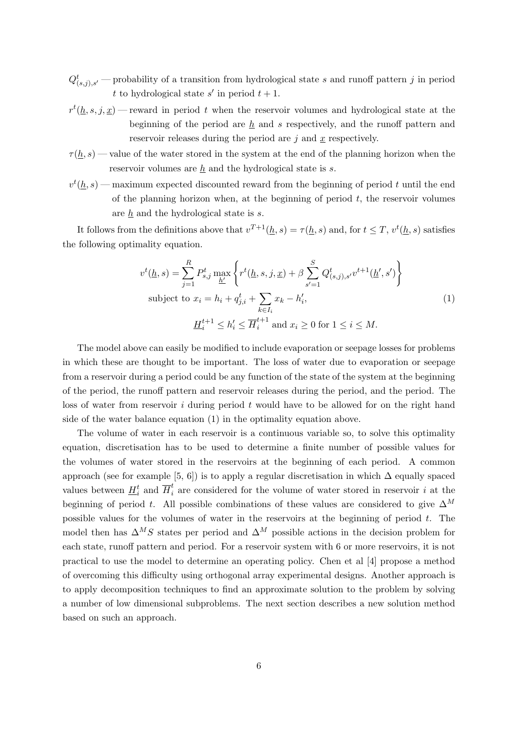- $Q^t_{(s,j),s'}$  probability of a transition from hydrological state *s* and runoff pattern *j* in period *t* to hydrological state *s*<sup> $\prime$ </sup> in period  $t + 1$ .
- $r^t(\underline{h}, s, j, \underline{x})$  reward in period *t* when the reservoir volumes and hydrological state at the beginning of the period are  $h$  and  $s$  respectively, and the runoff pattern and reservoir releases during the period are *j* and *x* respectively.
- $\tau(\underline{h},s)$  value of the water stored in the system at the end of the planning horizon when the reservoir volumes are  $\underline{h}$  and the hydrological state is  $s$ .
- $v^t(\underline{h},s)$  maximum expected discounted reward from the beginning of period *t* until the end of the planning horizon when, at the beginning of period *t*, the reservoir volumes are *h* and the hydrological state is *s*.

It follows from the definitions above that  $v^{T+1}(\underline{h}, s) = \tau(\underline{h}, s)$  and, for  $t \leq T$ ,  $v^t(\underline{h}, s)$  satisfies the following optimality equation.

$$
v^{t}(\underline{h}, s) = \sum_{j=1}^{R} P_{s,j}^{t} \max_{\underline{h}'} \left\{ r^{t}(\underline{h}, s, j, \underline{x}) + \beta \sum_{s'=1}^{S} Q_{(s,j),s'}^{t} v^{t+1}(\underline{h}', s') \right\}
$$
  
subject to  $x_{i} = h_{i} + q_{j,i}^{t} + \sum_{k \in I_{i}} x_{k} - h'_{i},$   

$$
\underline{H}_{i}^{t+1} \le h'_{i} \le \overline{H}_{i}^{t+1} \text{ and } x_{i} \ge 0 \text{ for } 1 \le i \le M.
$$
 (1)

The model above can easily be modified to include evaporation or seepage losses for problems in which these are thought to be important. The loss of water due to evaporation or seepage from a reservoir during a period could be any function of the state of the system at the beginning of the period, the runoff pattern and reservoir releases during the period, and the period. The loss of water from reservoir *i* during period *t* would have to be allowed for on the right hand side of the water balance equation (1) in the optimality equation above.

The volume of water in each reservoir is a continuous variable so, to solve this optimality equation, discretisation has to be used to determine a finite number of possible values for the volumes of water stored in the reservoirs at the beginning of each period. A common approach (see for example [5, 6]) is to apply a regular discretisation in which  $\Delta$  equally spaced values between  $H_i^t$  and  $\overline{H}_i^t$  are considered for the volume of water stored in reservoir *i* at the beginning of period *t*. All possible combinations of these values are considered to give  $\Delta^M$ possible values for the volumes of water in the reservoirs at the beginning of period *t*. The model then has  $\Delta^M S$  states per period and  $\Delta^M$  possible actions in the decision problem for each state, runoff pattern and period. For a reservoir system with 6 or more reservoirs, it is not practical to use the model to determine an operating policy. Chen et al [4] propose a method of overcoming this difficulty using orthogonal array experimental designs. Another approach is to apply decomposition techniques to find an approximate solution to the problem by solving a number of low dimensional subproblems. The next section describes a new solution method based on such an approach.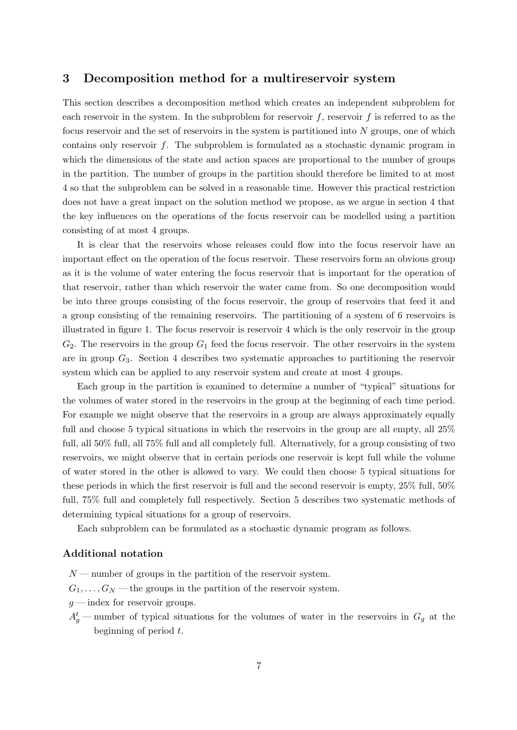#### **3 Decomposition method for a multireservoir system**

This section describes a decomposition method which creates an independent subproblem for each reservoir in the system. In the subproblem for reservoir  $f$ , reservoir  $f$  is referred to as the focus reservoir and the set of reservoirs in the system is partitioned into *N* groups, one of which contains only reservoir *f*. The subproblem is formulated as a stochastic dynamic program in which the dimensions of the state and action spaces are proportional to the number of groups in the partition. The number of groups in the partition should therefore be limited to at most 4 so that the subproblem can be solved in a reasonable time. However this practical restriction does not have a great impact on the solution method we propose, as we argue in section 4 that the key influences on the operations of the focus reservoir can be modelled using a partition consisting of at most 4 groups.

It is clear that the reservoirs whose releases could flow into the focus reservoir have an important effect on the operation of the focus reservoir. These reservoirs form an obvious group as it is the volume of water entering the focus reservoir that is important for the operation of that reservoir, rather than which reservoir the water came from. So one decomposition would be into three groups consisting of the focus reservoir, the group of reservoirs that feed it and a group consisting of the remaining reservoirs. The partitioning of a system of 6 reservoirs is illustrated in figure 1. The focus reservoir is reservoir 4 which is the only reservoir in the group *G*2. The reservoirs in the group *G*<sup>1</sup> feed the focus reservoir. The other reservoirs in the system are in group *G*3. Section 4 describes two systematic approaches to partitioning the reservoir system which can be applied to any reservoir system and create at most 4 groups.

Each group in the partition is examined to determine a number of "typical" situations for the volumes of water stored in the reservoirs in the group at the beginning of each time period. For example we might observe that the reservoirs in a group are always approximately equally full and choose 5 typical situations in which the reservoirs in the group are all empty, all  $25\%$ full, all 50% full, all 75% full and all completely full. Alternatively, for a group consisting of two reservoirs, we might observe that in certain periods one reservoir is kept full while the volume of water stored in the other is allowed to vary. We could then choose 5 typical situations for these periods in which the first reservoir is full and the second reservoir is empty, 25% full, 50% full, 75% full and completely full respectively. Section 5 describes two systematic methods of determining typical situations for a group of reservoirs.

Each subproblem can be formulated as a stochastic dynamic program as follows.

#### **Additional notation**

- *N* number of groups in the partition of the reservoir system.
- $G_1, \ldots, G_N$  the groups in the partition of the reservoir system.
- *g* index for reservoir groups.
- $A_g^t$  number of typical situations for the volumes of water in the reservoirs in  $G_g$  at the beginning of period *t*.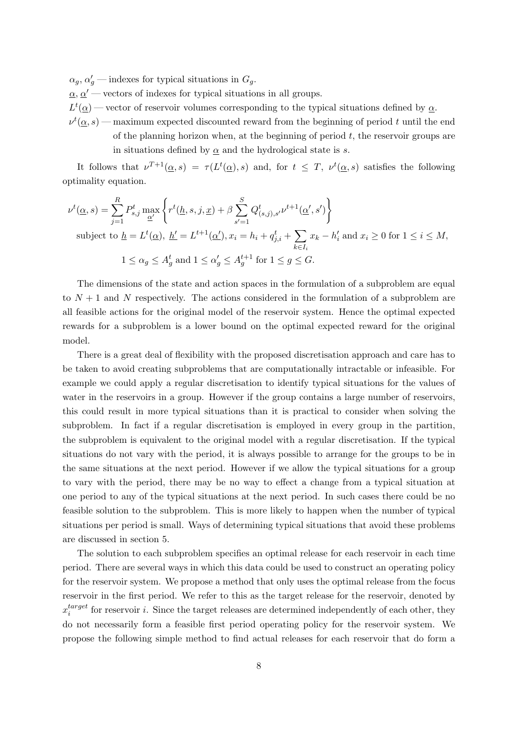$\alpha_g$ ,  $\alpha'_g$  — indexes for typical situations in  $G_g$ .

 $a, a'$  — vectors of indexes for typical situations in all groups.

 $L^t(\underline{\alpha})$  — vector of reservoir volumes corresponding to the typical situations defined by  $\underline{\alpha}$ .

 $\nu^t(\underline{\alpha},s)$  — maximum expected discounted reward from the beginning of period *t* until the end of the planning horizon when, at the beginning of period *t*, the reservoir groups are in situations defined by  $\alpha$  and the hydrological state is *s*.

It follows that  $\nu^{T+1}(\alpha, s) = \tau(L^t(\alpha), s)$  and, for  $t \leq T$ ,  $\nu^t(\alpha, s)$  satisfies the following optimality equation.

$$
\nu^{t}(\underline{\alpha},s) = \sum_{j=1}^{R} P_{s,j}^{t} \max_{\underline{\alpha}'} \left\{ r^{t}(\underline{h},s,j,\underline{x}) + \beta \sum_{s'=1}^{S} Q_{(s,j),s'}^{t} \nu^{t+1}(\underline{\alpha}',s') \right\}
$$
  
subject to  $\underline{h} = L^{t}(\underline{\alpha}), \underline{h'} = L^{t+1}(\underline{\alpha}'), x_{i} = h_{i} + q_{j,i}^{t} + \sum_{k \in I_{i}} x_{k} - h'_{i}$  and  $x_{i} \geq 0$  for  $1 \leq i \leq M$ ,  
 $1 \leq \alpha_{g} \leq A_{g}^{t}$  and  $1 \leq \alpha'_{g} \leq A_{g}^{t+1}$  for  $1 \leq g \leq G$ .

The dimensions of the state and action spaces in the formulation of a subproblem are equal to  $N+1$  and  $N$  respectively. The actions considered in the formulation of a subproblem are all feasible actions for the original model of the reservoir system. Hence the optimal expected rewards for a subproblem is a lower bound on the optimal expected reward for the original model.

There is a great deal of flexibility with the proposed discretisation approach and care has to be taken to avoid creating subproblems that are computationally intractable or infeasible. For example we could apply a regular discretisation to identify typical situations for the values of water in the reservoirs in a group. However if the group contains a large number of reservoirs, this could result in more typical situations than it is practical to consider when solving the subproblem. In fact if a regular discretisation is employed in every group in the partition, the subproblem is equivalent to the original model with a regular discretisation. If the typical situations do not vary with the period, it is always possible to arrange for the groups to be in the same situations at the next period. However if we allow the typical situations for a group to vary with the period, there may be no way to effect a change from a typical situation at one period to any of the typical situations at the next period. In such cases there could be no feasible solution to the subproblem. This is more likely to happen when the number of typical situations per period is small. Ways of determining typical situations that avoid these problems are discussed in section 5.

The solution to each subproblem specifies an optimal release for each reservoir in each time period. There are several ways in which this data could be used to construct an operating policy for the reservoir system. We propose a method that only uses the optimal release from the focus reservoir in the first period. We refer to this as the target release for the reservoir, denoted by *x target*  $i$ <sup>target</sup> for reservoir *i*. Since the target releases are determined independently of each other, they do not necessarily form a feasible first period operating policy for the reservoir system. We propose the following simple method to find actual releases for each reservoir that do form a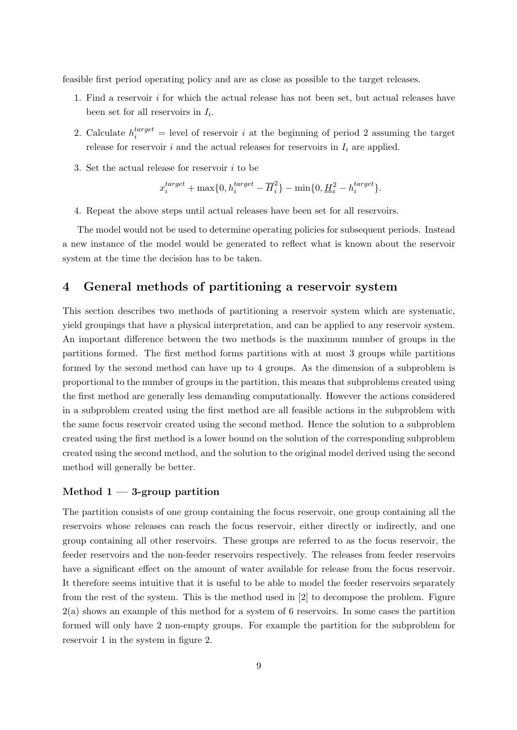feasible first period operating policy and are as close as possible to the target releases.

- 1. Find a reservoir *i* for which the actual release has not been set, but actual releases have been set for all reservoirs in *I<sup>i</sup>* .
- 2. Calculate  $h_i^{target} =$  level of reservoir *i* at the beginning of period 2 assuming the target release for reservoir  $i$  and the actual releases for reservoirs in  $I_i$  are applied.
- 3. Set the actual release for reservoir *i* to be

$$
x_i^{target} + \max\{0, h_i^{target} - \overline{H}_i^2\} - \min\{0, \underline{H}_i^2 - h_i^{target}\}.
$$

4. Repeat the above steps until actual releases have been set for all reservoirs.

The model would not be used to determine operating policies for subsequent periods. Instead a new instance of the model would be generated to reflect what is known about the reservoir system at the time the decision has to be taken.

#### **4 General methods of partitioning a reservoir system**

This section describes two methods of partitioning a reservoir system which are systematic, yield groupings that have a physical interpretation, and can be applied to any reservoir system. An important difference between the two methods is the maximum number of groups in the partitions formed. The first method forms partitions with at most 3 groups while partitions formed by the second method can have up to 4 groups. As the dimension of a subproblem is proportional to the number of groups in the partition, this means that subproblems created using the first method are generally less demanding computationally. However the actions considered in a subproblem created using the first method are all feasible actions in the subproblem with the same focus reservoir created using the second method. Hence the solution to a subproblem created using the first method is a lower bound on the solution of the corresponding subproblem created using the second method, and the solution to the original model derived using the second method will generally be better.

#### **Method 1 — 3-group partition**

The partition consists of one group containing the focus reservoir, one group containing all the reservoirs whose releases can reach the focus reservoir, either directly or indirectly, and one group containing all other reservoirs. These groups are referred to as the focus reservoir, the feeder reservoirs and the non-feeder reservoirs respectively. The releases from feeder reservoirs have a significant effect on the amount of water available for release from the focus reservoir. It therefore seems intuitive that it is useful to be able to model the feeder reservoirs separately from the rest of the system. This is the method used in [2] to decompose the problem. Figure 2(a) shows an example of this method for a system of 6 reservoirs. In some cases the partition formed will only have 2 non-empty groups. For example the partition for the subproblem for reservoir 1 in the system in figure 2.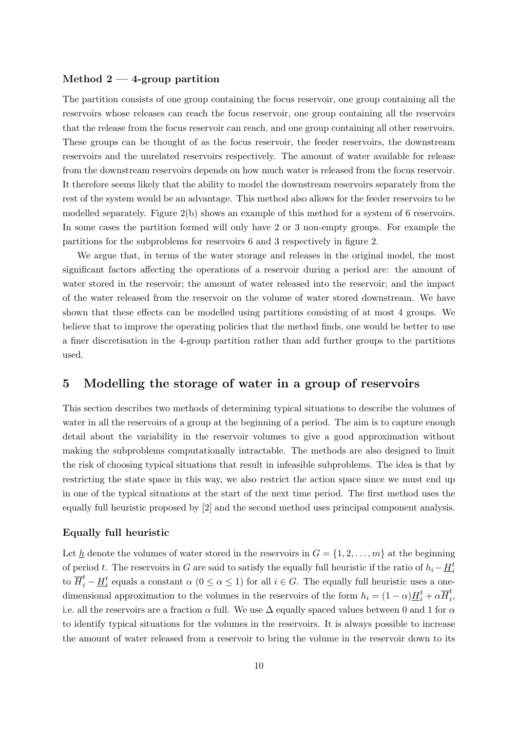#### **Method 2 — 4-group partition**

The partition consists of one group containing the focus reservoir, one group containing all the reservoirs whose releases can reach the focus reservoir, one group containing all the reservoirs that the release from the focus reservoir can reach, and one group containing all other reservoirs. These groups can be thought of as the focus reservoir, the feeder reservoirs, the downstream reservoirs and the unrelated reservoirs respectively. The amount of water available for release from the downstream reservoirs depends on how much water is released from the focus reservoir. It therefore seems likely that the ability to model the downstream reservoirs separately from the rest of the system would be an advantage. This method also allows for the feeder reservoirs to be modelled separately. Figure 2(b) shows an example of this method for a system of 6 reservoirs. In some cases the partition formed will only have 2 or 3 non-empty groups. For example the partitions for the subproblems for reservoirs 6 and 3 respectively in figure 2.

We argue that, in terms of the water storage and releases in the original model, the most significant factors affecting the operations of a reservoir during a period are: the amount of water stored in the reservoir; the amount of water released into the reservoir; and the impact of the water released from the reservoir on the volume of water stored downstream. We have shown that these effects can be modelled using partitions consisting of at most 4 groups. We believe that to improve the operating policies that the method finds, one would be better to use a finer discretisation in the 4-group partition rather than add further groups to the partitions used.

#### **5 Modelling the storage of water in a group of reservoirs**

This section describes two methods of determining typical situations to describe the volumes of water in all the reservoirs of a group at the beginning of a period. The aim is to capture enough detail about the variability in the reservoir volumes to give a good approximation without making the subproblems computationally intractable. The methods are also designed to limit the risk of choosing typical situations that result in infeasible subproblems. The idea is that by restricting the state space in this way, we also restrict the action space since we must end up in one of the typical situations at the start of the next time period. The first method uses the equally full heuristic proposed by [2] and the second method uses principal component analysis.

#### **Equally full heuristic**

Let  $\underline{h}$  denote the volumes of water stored in the reservoirs in  $G = \{1, 2, \ldots, m\}$  at the beginning of period *t*. The reservoirs in *G* are said to satisfy the equally full heuristic if the ratio of  $h_i - \underline{H}_i^t$ to  $\overline{H}_i^t - \underline{H}_i^t$  equals a constant  $\alpha$  ( $0 \leq \alpha \leq 1$ ) for all  $i \in G$ . The equally full heuristic uses a onedimensional approximation to the volumes in the reservoirs of the form  $h_i = (1 - \alpha) \underline{H}_i^t + \alpha \overline{H}_i^t$ *i* , i.e. all the reservoirs are a fraction  $\alpha$  full. We use  $\Delta$  equally spaced values between 0 and 1 for  $\alpha$ to identify typical situations for the volumes in the reservoirs. It is always possible to increase the amount of water released from a reservoir to bring the volume in the reservoir down to its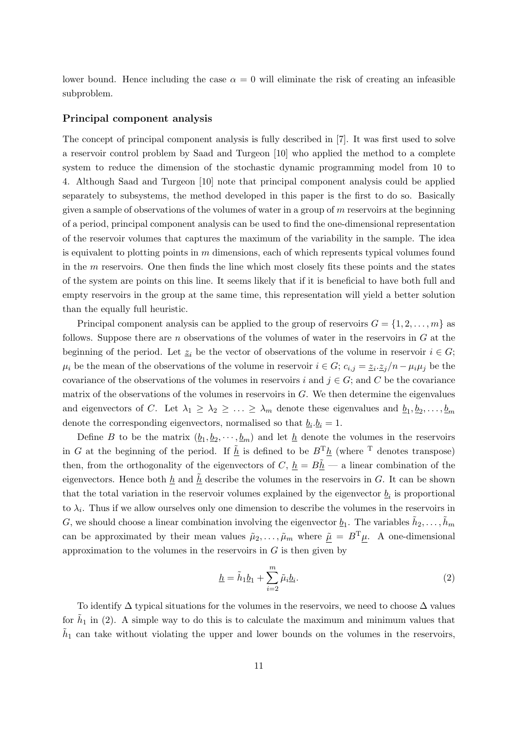lower bound. Hence including the case  $\alpha = 0$  will eliminate the risk of creating an infeasible subproblem.

#### **Principal component analysis**

The concept of principal component analysis is fully described in [7]. It was first used to solve a reservoir control problem by Saad and Turgeon [10] who applied the method to a complete system to reduce the dimension of the stochastic dynamic programming model from 10 to 4. Although Saad and Turgeon [10] note that principal component analysis could be applied separately to subsystems, the method developed in this paper is the first to do so. Basically given a sample of observations of the volumes of water in a group of *m* reservoirs at the beginning of a period, principal component analysis can be used to find the one-dimensional representation of the reservoir volumes that captures the maximum of the variability in the sample. The idea is equivalent to plotting points in *m* dimensions, each of which represents typical volumes found in the *m* reservoirs. One then finds the line which most closely fits these points and the states of the system are points on this line. It seems likely that if it is beneficial to have both full and empty reservoirs in the group at the same time, this representation will yield a better solution than the equally full heuristic.

Principal component analysis can be applied to the group of reservoirs  $G = \{1, 2, \ldots, m\}$  as follows. Suppose there are *n* observations of the volumes of water in the reservoirs in *G* at the beginning of the period. Let  $z_i$  be the vector of observations of the volume in reservoir  $i \in G$ ;  $\mu_i$  be the mean of the observations of the volume in reservoir  $i \in G$ ;  $c_{i,j} = \underline{z_i} \cdot \underline{z_j}/n - \mu_i \mu_j$  be the covariance of the observations of the volumes in reservoirs *i* and  $j \in G$ ; and *C* be the covariance matrix of the observations of the volumes in reservoirs in  $G$ . We then determine the eigenvalues and eigenvectors of *C*. Let  $\lambda_1 \geq \lambda_2 \geq \ldots \geq \lambda_m$  denote these eigenvalues and  $\underline{b}_1, \underline{b}_2, \ldots, \underline{b}_m$ denote the corresponding eigenvectors, normalised so that  $\underline{b}_i \cdot \underline{b}_i = 1$ .

Define *B* to be the matrix  $(\underline{b}_1, \underline{b}_2, \dots, \underline{b}_m)$  and let  $\underline{h}$  denote the volumes in the reservoirs in *G* at the beginning of the period. If  $\tilde{h}$  is defined to be  $B^T h$  (where <sup>T</sup> denotes transpose) then, from the orthogonality of the eigenvectors of *C*,  $h = B\tilde{h}$  — a linear combination of the eigenvectors. Hence both  $h$  and  $h$ <sup> $\geq$ </sup> describe the volumes in the reservoirs in *G*. It can be shown that the total variation in the reservoir volumes explained by the eigenvector  $\underline{b}_i$  is proportional to  $\lambda_i$ . Thus if we allow ourselves only one dimension to describe the volumes in the reservoirs in G, we should choose a linear combination involving the eigenvector  $\underline{b}_1$ . The variables  $\tilde{h}_2, \ldots, \tilde{h}_m$ can be approximated by their mean values  $\tilde{\mu}_2, \ldots, \tilde{\mu}_m$  where  $\tilde{\mu} = B^T \mu$ . A one-dimensional approximation to the volumes in the reservoirs in  $G$  is then given by

$$
\underline{h} = \tilde{h}_1 \underline{b}_1 + \sum_{i=2}^{m} \tilde{\mu}_i \underline{b}_i.
$$
\n(2)

To identify  $\Delta$  typical situations for the volumes in the reservoirs, we need to choose  $\Delta$  values for  $\tilde{h}_1$  in (2). A simple way to do this is to calculate the maximum and minimum values that  $\tilde{h}_1$  can take without violating the upper and lower bounds on the volumes in the reservoirs,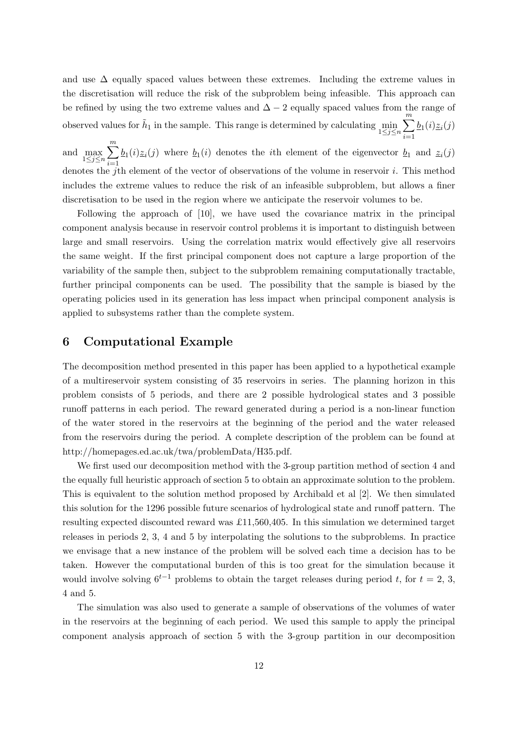and use  $\Delta$  equally spaced values between these extremes. Including the extreme values in the discretisation will reduce the risk of the subproblem being infeasible. This approach can be refined by using the two extreme values and ∆ *−* 2 equally spaced values from the range of observed values for  $\tilde{h}_1$  in the sample. This range is determined by calculating  $\min$ 1*≤j≤n* ∑*m*  $\underline{b}_1(i)\underline{z}_i(j)$ 

*i*=1 and max 1*≤j≤n* ∑*m i*=1  $b_1(i)\underline{z}_i(j)$  where  $b_1(i)$  denotes the *i*th element of the eigenvector  $b_1$  and  $z_i(j)$ denotes the *j*th element of the vector of observations of the volume in reservoir *i*. This method includes the extreme values to reduce the risk of an infeasible subproblem, but allows a finer discretisation to be used in the region where we anticipate the reservoir volumes to be.

Following the approach of [10], we have used the covariance matrix in the principal component analysis because in reservoir control problems it is important to distinguish between large and small reservoirs. Using the correlation matrix would effectively give all reservoirs the same weight. If the first principal component does not capture a large proportion of the variability of the sample then, subject to the subproblem remaining computationally tractable, further principal components can be used. The possibility that the sample is biased by the operating policies used in its generation has less impact when principal component analysis is applied to subsystems rather than the complete system.

#### **6 Computational Example**

The decomposition method presented in this paper has been applied to a hypothetical example of a multireservoir system consisting of 35 reservoirs in series. The planning horizon in this problem consists of 5 periods, and there are 2 possible hydrological states and 3 possible runoff patterns in each period. The reward generated during a period is a non-linear function of the water stored in the reservoirs at the beginning of the period and the water released from the reservoirs during the period. A complete description of the problem can be found at http://homepages.ed.ac.uk/twa/problemData/H35.pdf.

We first used our decomposition method with the 3-group partition method of section 4 and the equally full heuristic approach of section 5 to obtain an approximate solution to the problem. This is equivalent to the solution method proposed by Archibald et al [2]. We then simulated this solution for the 1296 possible future scenarios of hydrological state and runoff pattern. The resulting expected discounted reward was £11,560,405. In this simulation we determined target releases in periods 2, 3, 4 and 5 by interpolating the solutions to the subproblems. In practice we envisage that a new instance of the problem will be solved each time a decision has to be taken. However the computational burden of this is too great for the simulation because it would involve solving  $6^{t-1}$  problems to obtain the target releases during period *t*, for  $t = 2, 3$ , 4 and 5.

The simulation was also used to generate a sample of observations of the volumes of water in the reservoirs at the beginning of each period. We used this sample to apply the principal component analysis approach of section 5 with the 3-group partition in our decomposition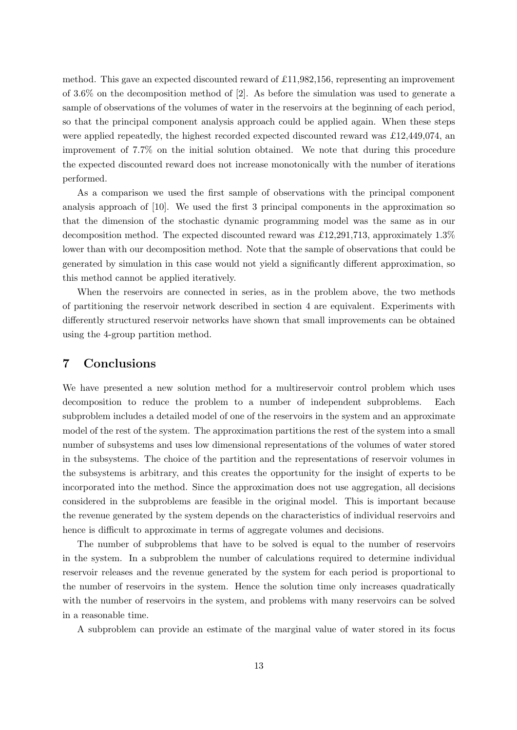method. This gave an expected discounted reward of £11,982,156, representing an improvement of 3.6% on the decomposition method of  $[2]$ . As before the simulation was used to generate a sample of observations of the volumes of water in the reservoirs at the beginning of each period, so that the principal component analysis approach could be applied again. When these steps were applied repeatedly, the highest recorded expected discounted reward was £12,449,074, an improvement of 7.7% on the initial solution obtained. We note that during this procedure the expected discounted reward does not increase monotonically with the number of iterations performed.

As a comparison we used the first sample of observations with the principal component analysis approach of [10]. We used the first 3 principal components in the approximation so that the dimension of the stochastic dynamic programming model was the same as in our decomposition method. The expected discounted reward was £12,291,713, approximately 1.3% lower than with our decomposition method. Note that the sample of observations that could be generated by simulation in this case would not yield a significantly different approximation, so this method cannot be applied iteratively.

When the reservoirs are connected in series, as in the problem above, the two methods of partitioning the reservoir network described in section 4 are equivalent. Experiments with differently structured reservoir networks have shown that small improvements can be obtained using the 4-group partition method.

#### **7 Conclusions**

We have presented a new solution method for a multireservoir control problem which uses decomposition to reduce the problem to a number of independent subproblems. Each subproblem includes a detailed model of one of the reservoirs in the system and an approximate model of the rest of the system. The approximation partitions the rest of the system into a small number of subsystems and uses low dimensional representations of the volumes of water stored in the subsystems. The choice of the partition and the representations of reservoir volumes in the subsystems is arbitrary, and this creates the opportunity for the insight of experts to be incorporated into the method. Since the approximation does not use aggregation, all decisions considered in the subproblems are feasible in the original model. This is important because the revenue generated by the system depends on the characteristics of individual reservoirs and hence is difficult to approximate in terms of aggregate volumes and decisions.

The number of subproblems that have to be solved is equal to the number of reservoirs in the system. In a subproblem the number of calculations required to determine individual reservoir releases and the revenue generated by the system for each period is proportional to the number of reservoirs in the system. Hence the solution time only increases quadratically with the number of reservoirs in the system, and problems with many reservoirs can be solved in a reasonable time.

A subproblem can provide an estimate of the marginal value of water stored in its focus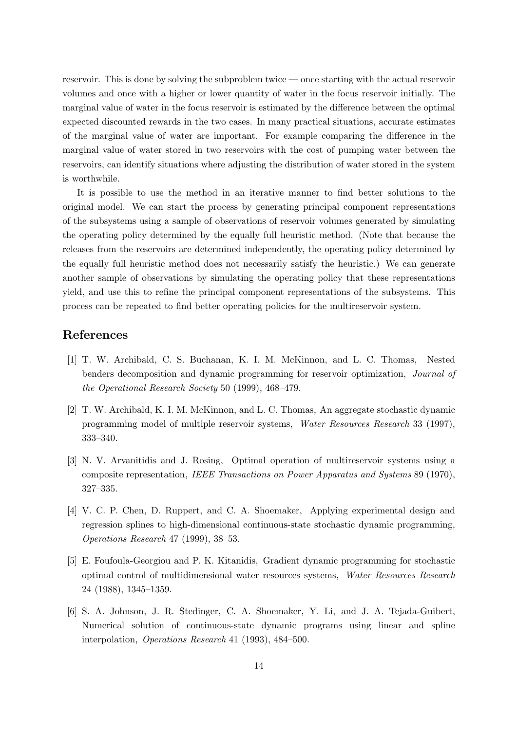reservoir. This is done by solving the subproblem twice — once starting with the actual reservoir volumes and once with a higher or lower quantity of water in the focus reservoir initially. The marginal value of water in the focus reservoir is estimated by the difference between the optimal expected discounted rewards in the two cases. In many practical situations, accurate estimates of the marginal value of water are important. For example comparing the difference in the marginal value of water stored in two reservoirs with the cost of pumping water between the reservoirs, can identify situations where adjusting the distribution of water stored in the system is worthwhile.

It is possible to use the method in an iterative manner to find better solutions to the original model. We can start the process by generating principal component representations of the subsystems using a sample of observations of reservoir volumes generated by simulating the operating policy determined by the equally full heuristic method. (Note that because the releases from the reservoirs are determined independently, the operating policy determined by the equally full heuristic method does not necessarily satisfy the heuristic.) We can generate another sample of observations by simulating the operating policy that these representations yield, and use this to refine the principal component representations of the subsystems. This process can be repeated to find better operating policies for the multireservoir system.

#### **References**

- [1] T. W. Archibald, C. S. Buchanan, K. I. M. McKinnon, and L. C. Thomas, Nested benders decomposition and dynamic programming for reservoir optimization, *Journal of the Operational Research Society* 50 (1999), 468–479.
- [2] T. W. Archibald, K. I. M. McKinnon, and L. C. Thomas, An aggregate stochastic dynamic programming model of multiple reservoir systems, *Water Resources Research* 33 (1997), 333–340.
- [3] N. V. Arvanitidis and J. Rosing, Optimal operation of multireservoir systems using a composite representation, *IEEE Transactions on Power Apparatus and Systems* 89 (1970), 327–335.
- [4] V. C. P. Chen, D. Ruppert, and C. A. Shoemaker, Applying experimental design and regression splines to high-dimensional continuous-state stochastic dynamic programming, *Operations Research* 47 (1999), 38–53.
- [5] E. Foufoula-Georgiou and P. K. Kitanidis, Gradient dynamic programming for stochastic optimal control of multidimensional water resources systems, *Water Resources Research* 24 (1988), 1345–1359.
- [6] S. A. Johnson, J. R. Stedinger, C. A. Shoemaker, Y. Li, and J. A. Tejada-Guibert, Numerical solution of continuous-state dynamic programs using linear and spline interpolation, *Operations Research* 41 (1993), 484–500.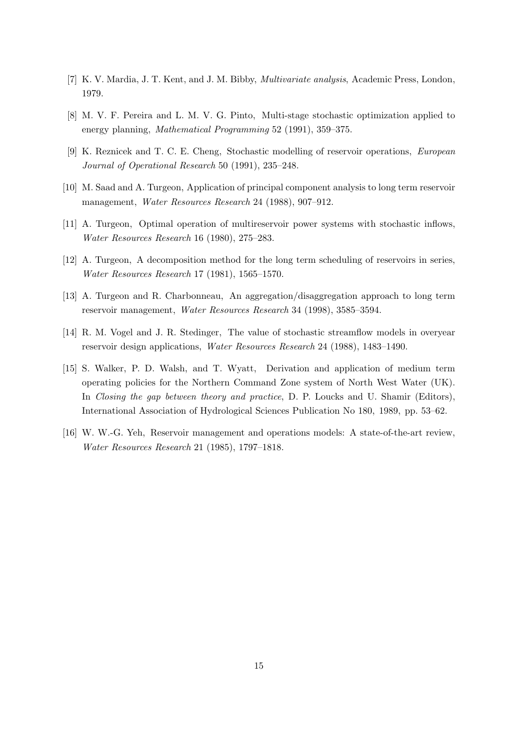- [7] K. V. Mardia, J. T. Kent, and J. M. Bibby, *Multivariate analysis*, Academic Press, London, 1979.
- [8] M. V. F. Pereira and L. M. V. G. Pinto, Multi-stage stochastic optimization applied to energy planning, *Mathematical Programming* 52 (1991), 359–375.
- [9] K. Reznicek and T. C. E. Cheng, Stochastic modelling of reservoir operations, *European Journal of Operational Research* 50 (1991), 235–248.
- [10] M. Saad and A. Turgeon, Application of principal component analysis to long term reservoir management, *Water Resources Research* 24 (1988), 907–912.
- [11] A. Turgeon, Optimal operation of multireservoir power systems with stochastic inflows, *Water Resources Research* 16 (1980), 275–283.
- [12] A. Turgeon, A decomposition method for the long term scheduling of reservoirs in series, *Water Resources Research* 17 (1981), 1565–1570.
- [13] A. Turgeon and R. Charbonneau, An aggregation/disaggregation approach to long term reservoir management, *Water Resources Research* 34 (1998), 3585–3594.
- [14] R. M. Vogel and J. R. Stedinger, The value of stochastic streamflow models in overyear reservoir design applications, *Water Resources Research* 24 (1988), 1483–1490.
- [15] S. Walker, P. D. Walsh, and T. Wyatt, Derivation and application of medium term operating policies for the Northern Command Zone system of North West Water (UK). In *Closing the gap between theory and practice*, D. P. Loucks and U. Shamir (Editors), International Association of Hydrological Sciences Publication No 180, 1989, pp. 53–62.
- [16] W. W.-G. Yeh, Reservoir management and operations models: A state-of-the-art review, *Water Resources Research* 21 (1985), 1797–1818.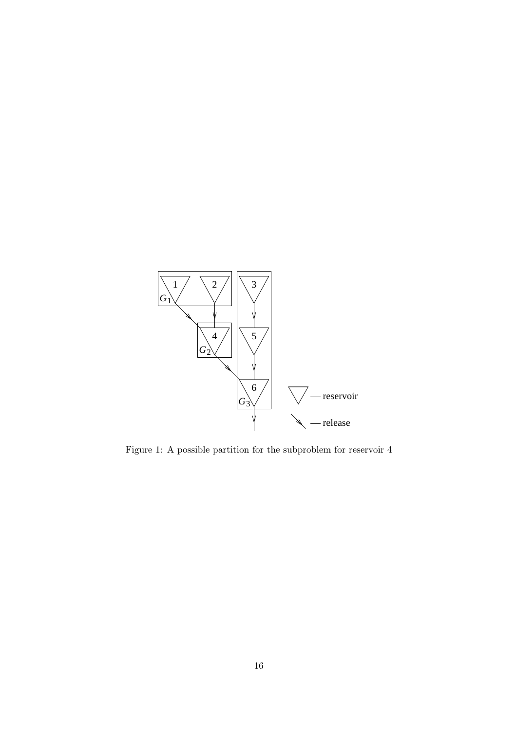

Figure 1: A possible partition for the subproblem for reservoir 4